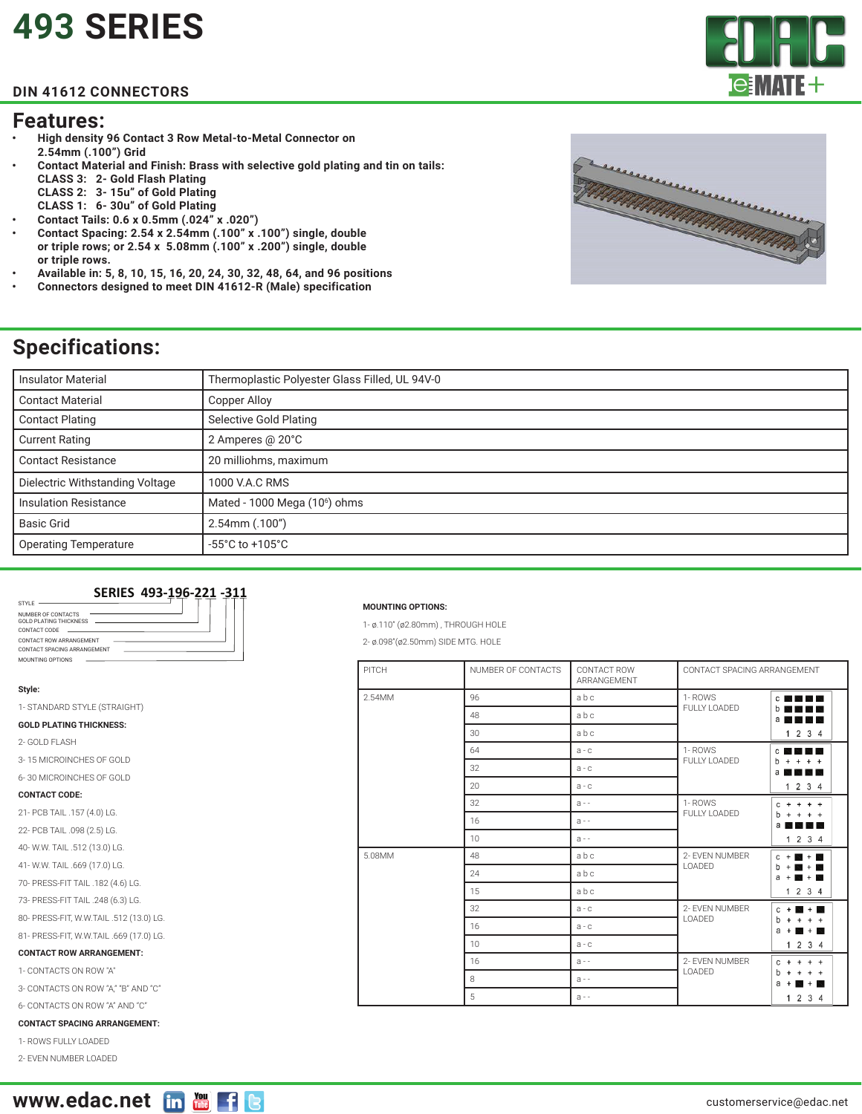## **[493 SERIES](https://edac.net/series/493)**

#### **DIN 41612 CONNECTORS**

#### **Features:**

- **• High density 96 Contact 3 Row Metal-to-Metal Connector on 2.54mm (.100") Grid**
- **• Contact Material and Finish: Brass with selective gold plating and tin on tails: CLASS 3: 2- Gold Flash Plating CLASS 2: 3- 15u" of Gold Plating**
	- **CLASS 1: 6- 30u" of Gold Plating**
- **• Contact Tails: 0.6 x 0.5mm (.024" x .020")**
- **• Contact Spacing: 2.54 x 2.54mm (.100" x .100") single, double or triple rows; or 2.54 x 5.08mm (.100" x .200") single, double or triple rows.**
- **• Available in: 5, 8, 10, 15, 16, 20, 24, 30, 32, 48, 64, and 96 positions**
- **• Connectors designed to meet DIN 41612-R (Male) specification**

# errerererere **THIMMINITIONAL COMMUNITY OF THE ANTICOLOGY OF THE ANTICIPATION OF THE ANTICIPATION OF THE ANTICIPATION OF THE**

### **Specifications:**

| <b>Insulator Material</b>       | Thermoplastic Polyester Glass Filled, UL 94V-0 |  |
|---------------------------------|------------------------------------------------|--|
| <b>Contact Material</b>         | Copper Alloy                                   |  |
| <b>Contact Plating</b>          | Selective Gold Plating                         |  |
| <b>Current Rating</b>           | 2 Amperes @ 20°C                               |  |
| <b>Contact Resistance</b>       | 20 milliohms, maximum                          |  |
| Dielectric Withstanding Voltage | 1000 V.A.C RMS                                 |  |
| <b>Insulation Resistance</b>    | Mated - 1000 Mega (10 <sup>6</sup> ) ohms      |  |
| <b>Basic Grid</b>               | 2.54mm (.100")                                 |  |
| <b>Operating Temperature</b>    | $-55^{\circ}$ C to $+105^{\circ}$ C            |  |

#### **SERIES 493-196-221 -311**

| STYLE                                                                                           |  |
|-------------------------------------------------------------------------------------------------|--|
| NUMBER OF CONTACTS<br>GOLD PLATING THICKNESS                                                    |  |
| CONTACT CODE<br>the contract of the contract of the contract of the contract of the contract of |  |
| CONTACT ROW ARRANGEMENT<br>CONTACT SPACING ARRANGEMENT                                          |  |
| MOUNTING OPTIONS                                                                                |  |

#### **Style:**

1- STANDARD STYLE (STRAIGHT)

#### **GOLD PLATING THICKNESS:**

- 2- GOLD FLASH
- 3- 15 MICROINCHES OF GOLD
- 6- 30 MICROINCHES OF GOLD

#### **CONTACT CODE:**

- 21- PCB TAIL .157 (4.0) LG.
- 22- PCB TAIL .098 (2.5) LG.
- 40- W.W. TAIL .512 (13.0) LG.
- 41- W.W. TAIL .669 (17.0) LG.
- 70- PRESS-FIT TAIL .182 (4.6) LG.
- 73- PRESS-FIT TAIL .248 (6.3) LG.
- 80- PRESS-FIT, W.W.TAIL .512 (13.0) LG.
- 81- PRESS-FIT, W.W.TAIL .669 (17.0) LG.

#### **CONTACT ROW ARRANGEMENT:**

- 1- CONTACTS ON ROW "A"
- 3- CONTACTS ON ROW "A," "B" AND "C"
- 6- CONTACTS ON ROW "A" AND "C"

#### **CONTACT SPACING ARRANGEMENT:**

1- ROWS FULLY LOADED

2- EVEN NUMBER LOADED



#### **MOUNTING OPTIONS:**

- 1- ø.110" (ø2.80mm) , THROUGH HOLE
- 2- ø.098"(ø2.50mm) SIDE MTG. HOLE

| PITCH  | NUMBER OF CONTACTS | CONTACT ROW<br>ARRANGEMENT | CONTACT SPACING ARRANGEMENT |                                                    |
|--------|--------------------|----------------------------|-----------------------------|----------------------------------------------------|
| 2.54MM | 96                 | abc                        | 1-ROWS<br>FULLY LOADED      | <b>CNNNN</b>                                       |
|        | 48                 | abc                        |                             | b<br>र र<br>a<br>N.N.                              |
|        | 30                 | abc                        |                             | 1234                                               |
|        | 64                 | $a - c$                    | 1-ROWS<br>FULLY LOADED      | $\mathbf{c}$<br>a Na                               |
|        | 32                 | $a - c$                    |                             | <sub>b</sub><br>$+$<br>$+ +$<br>a<br>JN.           |
|        | 20                 | $a - c$                    |                             | 1234                                               |
|        | 32                 | $a -$                      | 1-ROWS<br>FULLY LOADED      | $+ +$<br>C<br>b<br>$\ddot{}$<br>a                  |
|        | 16                 | $a -$                      |                             |                                                    |
|        | 10                 | $a -$                      |                             | 1 2 3 4                                            |
| 5.08MM | 48                 | abc                        | 2- EVEN NUMBER<br>LOADED    | $C + R + R$                                        |
|        | 24                 | abc                        |                             | $b + 1$<br>$+$<br>$a +$<br>$- + -$                 |
|        | 15                 | abc                        |                             | 1234                                               |
|        | 32                 | $a - c$                    | 2- EVEN NUMBER<br>LOADED    | $+$<br>$+$ $\blacksquare$<br>с                     |
|        | 16                 | $a - c$                    |                             | b<br>$+$<br>a<br>$+$ $\blacksquare$<br>$^{+}$      |
|        | 10                 | $a - c$                    |                             | 1 2 3 4                                            |
|        | 16                 | $A -$                      | 2- EVEN NUMBER<br>LOADED    | C<br>$+ +$<br>$^{+}$<br>$^{+}$                     |
|        | 8                  | $a - -$                    |                             | b<br>$+ +$<br>a<br>$\overline{\phantom{0}}$<br>$+$ |
|        | 5                  | $a -$                      |                             | 1 2 3 4                                            |